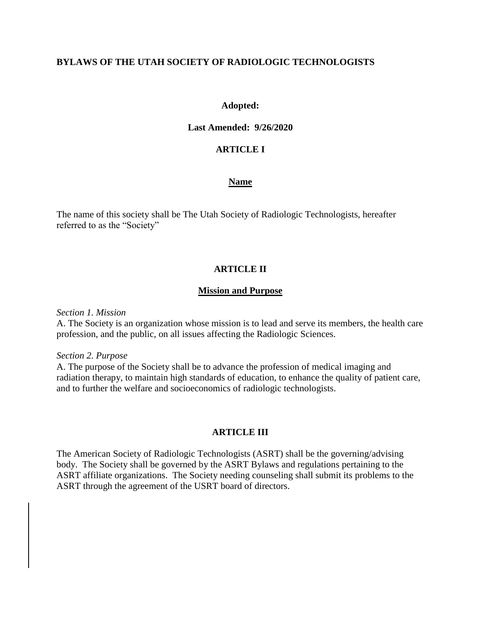### **BYLAWS OF THE UTAH SOCIETY OF RADIOLOGIC TECHNOLOGISTS**

### **Adopted:**

#### **Last Amended: 9/26/2020**

### **ARTICLE I**

#### **Name**

The name of this society shall be The Utah Society of Radiologic Technologists, hereafter referred to as the "Society"

### **ARTICLE II**

#### **Mission and Purpose**

*Section 1. Mission*

A. The Society is an organization whose mission is to lead and serve its members, the health care profession, and the public, on all issues affecting the Radiologic Sciences.

*Section 2. Purpose*

A. The purpose of the Society shall be to advance the profession of medical imaging and radiation therapy, to maintain high standards of education, to enhance the quality of patient care, and to further the welfare and socioeconomics of radiologic technologists.

### **ARTICLE III**

The American Society of Radiologic Technologists (ASRT) shall be the governing/advising body. The Society shall be governed by the ASRT Bylaws and regulations pertaining to the ASRT affiliate organizations. The Society needing counseling shall submit its problems to the ASRT through the agreement of the USRT board of directors.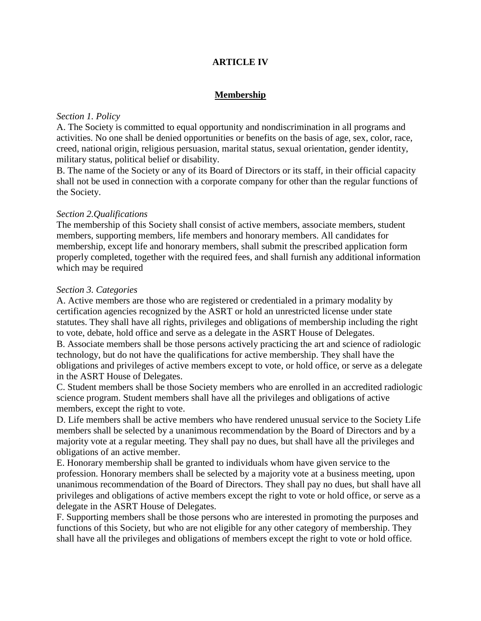# **ARTICLE IV**

# **Membership**

#### *Section 1. Policy*

A. The Society is committed to equal opportunity and nondiscrimination in all programs and activities. No one shall be denied opportunities or benefits on the basis of age, sex, color, race, creed, national origin, religious persuasion, marital status, sexual orientation, gender identity, military status, political belief or disability.

B. The name of the Society or any of its Board of Directors or its staff, in their official capacity shall not be used in connection with a corporate company for other than the regular functions of the Society.

### *Section 2.Qualifications*

The membership of this Society shall consist of active members, associate members, student members, supporting members, life members and honorary members. All candidates for membership, except life and honorary members, shall submit the prescribed application form properly completed, together with the required fees, and shall furnish any additional information which may be required

### *Section 3. Categories*

A. Active members are those who are registered or credentialed in a primary modality by certification agencies recognized by the ASRT or hold an unrestricted license under state statutes. They shall have all rights, privileges and obligations of membership including the right to vote, debate, hold office and serve as a delegate in the ASRT House of Delegates. B. Associate members shall be those persons actively practicing the art and science of radiologic

technology, but do not have the qualifications for active membership. They shall have the obligations and privileges of active members except to vote, or hold office, or serve as a delegate in the ASRT House of Delegates.

C. Student members shall be those Society members who are enrolled in an accredited radiologic science program. Student members shall have all the privileges and obligations of active members, except the right to vote.

D. Life members shall be active members who have rendered unusual service to the Society Life members shall be selected by a unanimous recommendation by the Board of Directors and by a majority vote at a regular meeting. They shall pay no dues, but shall have all the privileges and obligations of an active member.

E. Honorary membership shall be granted to individuals whom have given service to the profession. Honorary members shall be selected by a majority vote at a business meeting, upon unanimous recommendation of the Board of Directors. They shall pay no dues, but shall have all privileges and obligations of active members except the right to vote or hold office, or serve as a delegate in the ASRT House of Delegates.

F. Supporting members shall be those persons who are interested in promoting the purposes and functions of this Society, but who are not eligible for any other category of membership. They shall have all the privileges and obligations of members except the right to vote or hold office.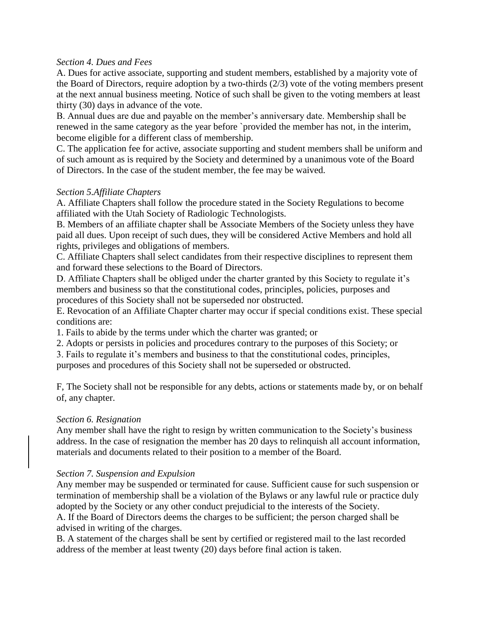### *Section 4. Dues and Fees*

A. Dues for active associate, supporting and student members, established by a majority vote of the Board of Directors, require adoption by a two-thirds (2/3) vote of the voting members present at the next annual business meeting. Notice of such shall be given to the voting members at least thirty (30) days in advance of the vote.

B. Annual dues are due and payable on the member's anniversary date. Membership shall be renewed in the same category as the year before `provided the member has not, in the interim, become eligible for a different class of membership.

C. The application fee for active, associate supporting and student members shall be uniform and of such amount as is required by the Society and determined by a unanimous vote of the Board of Directors. In the case of the student member, the fee may be waived.

### *Section 5.Affiliate Chapters*

A. Affiliate Chapters shall follow the procedure stated in the Society Regulations to become affiliated with the Utah Society of Radiologic Technologists.

B. Members of an affiliate chapter shall be Associate Members of the Society unless they have paid all dues. Upon receipt of such dues, they will be considered Active Members and hold all rights, privileges and obligations of members.

C. Affiliate Chapters shall select candidates from their respective disciplines to represent them and forward these selections to the Board of Directors.

D. Affiliate Chapters shall be obliged under the charter granted by this Society to regulate it's members and business so that the constitutional codes, principles, policies, purposes and procedures of this Society shall not be superseded nor obstructed.

E. Revocation of an Affiliate Chapter charter may occur if special conditions exist. These special conditions are:

1. Fails to abide by the terms under which the charter was granted; or

2. Adopts or persists in policies and procedures contrary to the purposes of this Society; or

3. Fails to regulate it's members and business to that the constitutional codes, principles,

purposes and procedures of this Society shall not be superseded or obstructed.

F, The Society shall not be responsible for any debts, actions or statements made by, or on behalf of, any chapter.

### *Section 6. Resignation*

Any member shall have the right to resign by written communication to the Society's business address. In the case of resignation the member has 20 days to relinquish all account information, materials and documents related to their position to a member of the Board.

### *Section 7. Suspension and Expulsion*

Any member may be suspended or terminated for cause. Sufficient cause for such suspension or termination of membership shall be a violation of the Bylaws or any lawful rule or practice duly adopted by the Society or any other conduct prejudicial to the interests of the Society.

A. If the Board of Directors deems the charges to be sufficient; the person charged shall be advised in writing of the charges.

B. A statement of the charges shall be sent by certified or registered mail to the last recorded address of the member at least twenty (20) days before final action is taken.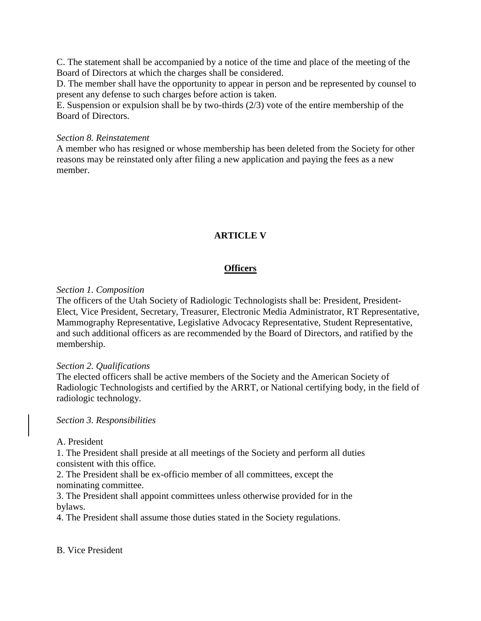C. The statement shall be accompanied by a notice of the time and place of the meeting of the Board of Directors at which the charges shall be considered.

D. The member shall have the opportunity to appear in person and be represented by counsel to present any defense to such charges before action is taken.

E. Suspension or expulsion shall be by two-thirds (2/3) vote of the entire membership of the Board of Directors.

### *Section 8. Reinstatement*

A member who has resigned or whose membership has been deleted from the Society for other reasons may be reinstated only after filing a new application and paying the fees as a new member.

# **ARTICLE V**

# **Officers**

### *Section 1. Composition*

The officers of the Utah Society of Radiologic Technologists shall be: President, President-Elect, Vice President, Secretary, Treasurer, Electronic Media Administrator, RT Representative, Mammography Representative, Legislative Advocacy Representative, Student Representative, and such additional officers as are recommended by the Board of Directors, and ratified by the membership.

### *Section 2. Qualifications*

The elected officers shall be active members of the Society and the American Society of Radiologic Technologists and certified by the ARRT, or National certifying body, in the field of radiologic technology.

*Section 3. Responsibilities*

### A. President

1. The President shall preside at all meetings of the Society and perform all duties consistent with this office.

2. The President shall be ex-officio member of all committees, except the nominating committee.

3. The President shall appoint committees unless otherwise provided for in the bylaws.

4. The President shall assume those duties stated in the Society regulations.

B. Vice President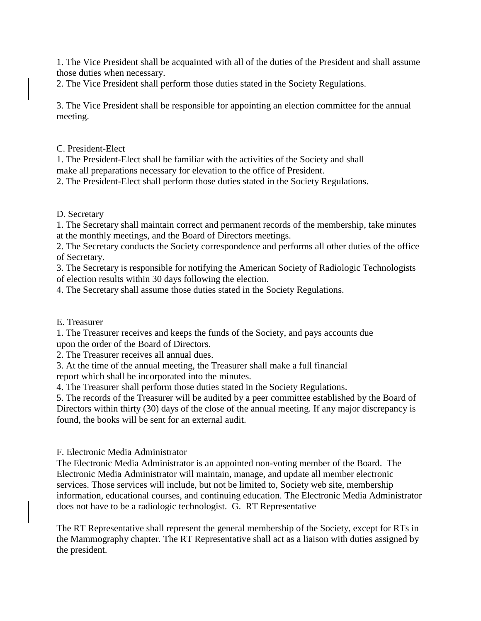1. The Vice President shall be acquainted with all of the duties of the President and shall assume those duties when necessary.

2. The Vice President shall perform those duties stated in the Society Regulations.

3. The Vice President shall be responsible for appointing an election committee for the annual meeting.

C. President-Elect

1. The President-Elect shall be familiar with the activities of the Society and shall make all preparations necessary for elevation to the office of President.

2. The President-Elect shall perform those duties stated in the Society Regulations.

D. Secretary

1. The Secretary shall maintain correct and permanent records of the membership, take minutes at the monthly meetings, and the Board of Directors meetings.

2. The Secretary conducts the Society correspondence and performs all other duties of the office of Secretary.

3. The Secretary is responsible for notifying the American Society of Radiologic Technologists of election results within 30 days following the election.

4. The Secretary shall assume those duties stated in the Society Regulations.

E. Treasurer

1. The Treasurer receives and keeps the funds of the Society, and pays accounts due upon the order of the Board of Directors.

2. The Treasurer receives all annual dues.

3. At the time of the annual meeting, the Treasurer shall make a full financial report which shall be incorporated into the minutes.

4. The Treasurer shall perform those duties stated in the Society Regulations.

5. The records of the Treasurer will be audited by a peer committee established by the Board of Directors within thirty (30) days of the close of the annual meeting. If any major discrepancy is found, the books will be sent for an external audit.

F. Electronic Media Administrator

The Electronic Media Administrator is an appointed non-voting member of the Board. The Electronic Media Administrator will maintain, manage, and update all member electronic services. Those services will include, but not be limited to, Society web site, membership information, educational courses, and continuing education. The Electronic Media Administrator does not have to be a radiologic technologist. G. RT Representative

The RT Representative shall represent the general membership of the Society, except for RTs in the Mammography chapter. The RT Representative shall act as a liaison with duties assigned by the president.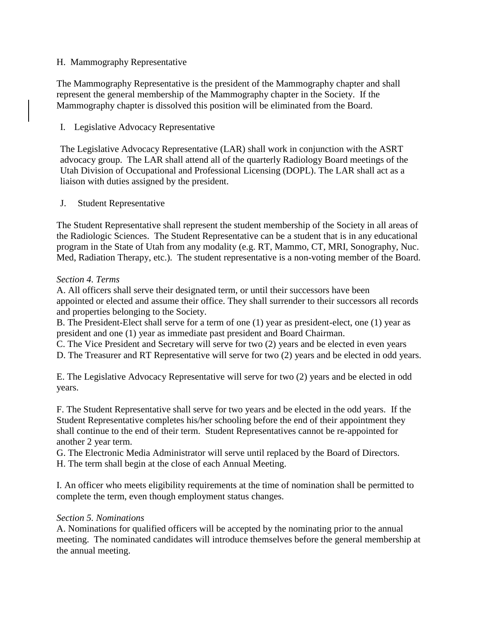# H. Mammography Representative

The Mammography Representative is the president of the Mammography chapter and shall represent the general membership of the Mammography chapter in the Society. If the Mammography chapter is dissolved this position will be eliminated from the Board.

# I. Legislative Advocacy Representative

The Legislative Advocacy Representative (LAR) shall work in conjunction with the ASRT advocacy group. The LAR shall attend all of the quarterly Radiology Board meetings of the Utah Division of Occupational and Professional Licensing (DOPL). The LAR shall act as a liaison with duties assigned by the president.

### J. Student Representative

The Student Representative shall represent the student membership of the Society in all areas of the Radiologic Sciences. The Student Representative can be a student that is in any educational program in the State of Utah from any modality (e.g. RT, Mammo, CT, MRI, Sonography, Nuc. Med, Radiation Therapy, etc.). The student representative is a non-voting member of the Board.

### *Section 4. Terms*

A. All officers shall serve their designated term, or until their successors have been appointed or elected and assume their office. They shall surrender to their successors all records and properties belonging to the Society.

B. The President-Elect shall serve for a term of one (1) year as president-elect, one (1) year as president and one (1) year as immediate past president and Board Chairman.

C. The Vice President and Secretary will serve for two (2) years and be elected in even years

D. The Treasurer and RT Representative will serve for two (2) years and be elected in odd years.

E. The Legislative Advocacy Representative will serve for two (2) years and be elected in odd years.

F. The Student Representative shall serve for two years and be elected in the odd years. If the Student Representative completes his/her schooling before the end of their appointment they shall continue to the end of their term. Student Representatives cannot be re-appointed for another 2 year term.

G. The Electronic Media Administrator will serve until replaced by the Board of Directors. H. The term shall begin at the close of each Annual Meeting.

I. An officer who meets eligibility requirements at the time of nomination shall be permitted to complete the term, even though employment status changes.

### *Section 5. Nominations*

A. Nominations for qualified officers will be accepted by the nominating prior to the annual meeting. The nominated candidates will introduce themselves before the general membership at the annual meeting.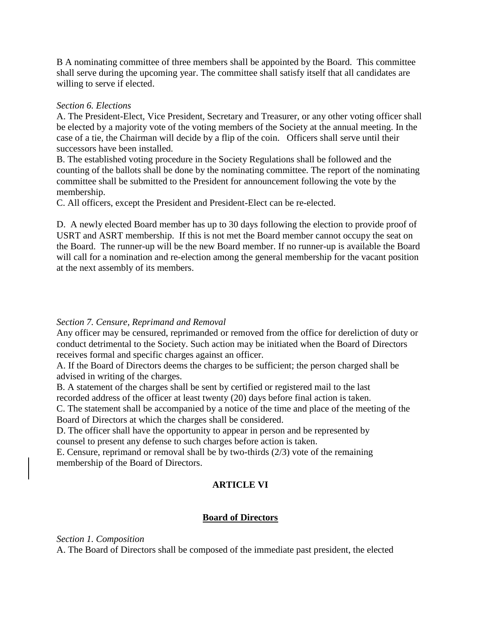B A nominating committee of three members shall be appointed by the Board. This committee shall serve during the upcoming year. The committee shall satisfy itself that all candidates are willing to serve if elected.

### *Section 6. Elections*

A. The President-Elect, Vice President, Secretary and Treasurer, or any other voting officer shall be elected by a majority vote of the voting members of the Society at the annual meeting. In the case of a tie, the Chairman will decide by a flip of the coin. Officers shall serve until their successors have been installed.

B. The established voting procedure in the Society Regulations shall be followed and the counting of the ballots shall be done by the nominating committee. The report of the nominating committee shall be submitted to the President for announcement following the vote by the membership.

C. All officers, except the President and President-Elect can be re-elected.

D. A newly elected Board member has up to 30 days following the election to provide proof of USRT and ASRT membership. If this is not met the Board member cannot occupy the seat on the Board. The runner-up will be the new Board member. If no runner-up is available the Board will call for a nomination and re-election among the general membership for the vacant position at the next assembly of its members.

### *Section 7. Censure, Reprimand and Removal*

Any officer may be censured, reprimanded or removed from the office for dereliction of duty or conduct detrimental to the Society. Such action may be initiated when the Board of Directors receives formal and specific charges against an officer.

A. If the Board of Directors deems the charges to be sufficient; the person charged shall be advised in writing of the charges.

B. A statement of the charges shall be sent by certified or registered mail to the last recorded address of the officer at least twenty (20) days before final action is taken.

C. The statement shall be accompanied by a notice of the time and place of the meeting of the Board of Directors at which the charges shall be considered.

D. The officer shall have the opportunity to appear in person and be represented by counsel to present any defense to such charges before action is taken.

E. Censure, reprimand or removal shall be by two-thirds (2/3) vote of the remaining membership of the Board of Directors.

# **ARTICLE VI**

# **Board of Directors**

*Section 1. Composition*

A. The Board of Directors shall be composed of the immediate past president, the elected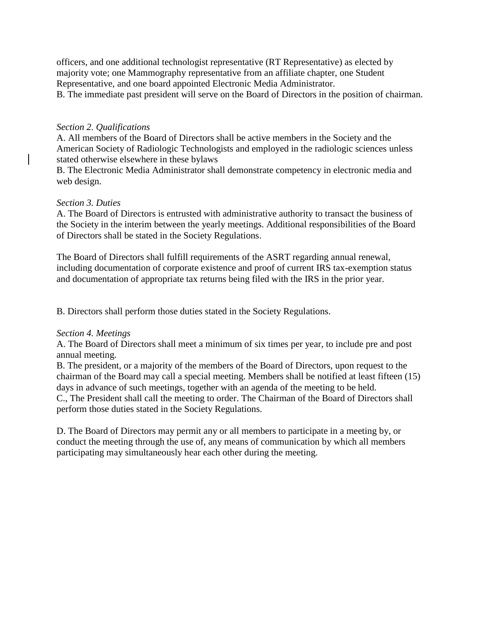officers, and one additional technologist representative (RT Representative) as elected by majority vote; one Mammography representative from an affiliate chapter, one Student Representative, and one board appointed Electronic Media Administrator.

B. The immediate past president will serve on the Board of Directors in the position of chairman.

## *Section 2. Qualifications*

A. All members of the Board of Directors shall be active members in the Society and the American Society of Radiologic Technologists and employed in the radiologic sciences unless stated otherwise elsewhere in these bylaws

B. The Electronic Media Administrator shall demonstrate competency in electronic media and web design.

### *Section 3. Duties*

A. The Board of Directors is entrusted with administrative authority to transact the business of the Society in the interim between the yearly meetings. Additional responsibilities of the Board of Directors shall be stated in the Society Regulations.

The Board of Directors shall fulfill requirements of the ASRT regarding annual renewal, including documentation of corporate existence and proof of current IRS tax-exemption status and documentation of appropriate tax returns being filed with the IRS in the prior year.

B. Directors shall perform those duties stated in the Society Regulations.

### *Section 4. Meetings*

A. The Board of Directors shall meet a minimum of six times per year, to include pre and post annual meeting.

B. The president, or a majority of the members of the Board of Directors, upon request to the chairman of the Board may call a special meeting. Members shall be notified at least fifteen (15) days in advance of such meetings, together with an agenda of the meeting to be held. C., The President shall call the meeting to order. The Chairman of the Board of Directors shall perform those duties stated in the Society Regulations.

D. The Board of Directors may permit any or all members to participate in a meeting by, or conduct the meeting through the use of, any means of communication by which all members participating may simultaneously hear each other during the meeting.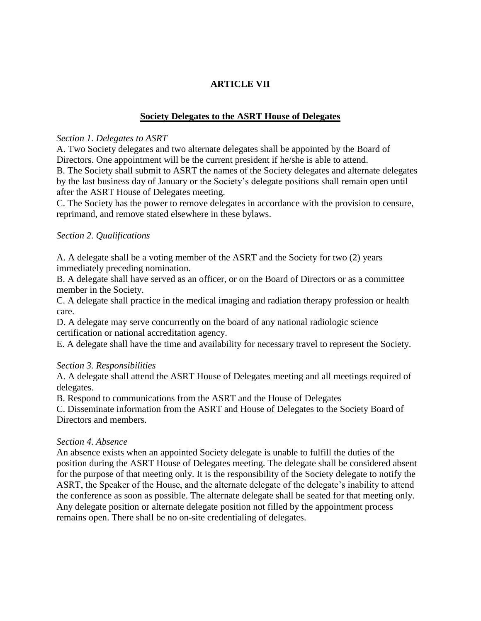# **ARTICLE VII**

# **Society Delegates to the ASRT House of Delegates**

### *Section 1. Delegates to ASRT*

A. Two Society delegates and two alternate delegates shall be appointed by the Board of Directors. One appointment will be the current president if he/she is able to attend. B. The Society shall submit to ASRT the names of the Society delegates and alternate delegates by the last business day of January or the Society's delegate positions shall remain open until after the ASRT House of Delegates meeting.

C. The Society has the power to remove delegates in accordance with the provision to censure, reprimand, and remove stated elsewhere in these bylaws.

### *Section 2. Qualifications*

A. A delegate shall be a voting member of the ASRT and the Society for two (2) years immediately preceding nomination.

B. A delegate shall have served as an officer, or on the Board of Directors or as a committee member in the Society.

C. A delegate shall practice in the medical imaging and radiation therapy profession or health care.

D. A delegate may serve concurrently on the board of any national radiologic science certification or national accreditation agency.

E. A delegate shall have the time and availability for necessary travel to represent the Society.

### *Section 3. Responsibilities*

A. A delegate shall attend the ASRT House of Delegates meeting and all meetings required of delegates.

B. Respond to communications from the ASRT and the House of Delegates

C. Disseminate information from the ASRT and House of Delegates to the Society Board of Directors and members.

### *Section 4. Absence*

An absence exists when an appointed Society delegate is unable to fulfill the duties of the position during the ASRT House of Delegates meeting. The delegate shall be considered absent for the purpose of that meeting only. It is the responsibility of the Society delegate to notify the ASRT, the Speaker of the House, and the alternate delegate of the delegate's inability to attend the conference as soon as possible. The alternate delegate shall be seated for that meeting only. Any delegate position or alternate delegate position not filled by the appointment process remains open. There shall be no on-site credentialing of delegates.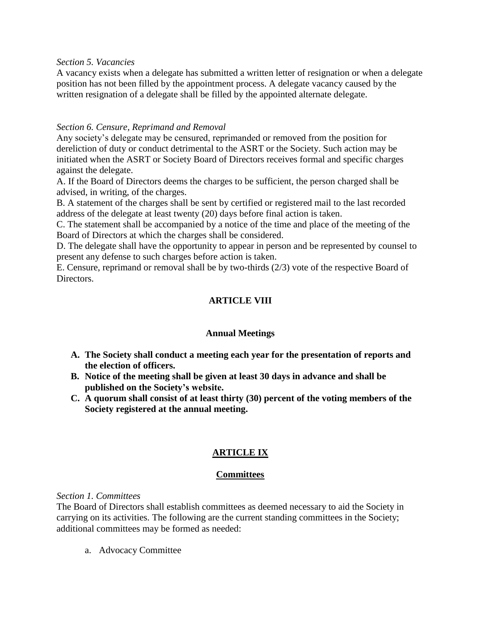*Section 5. Vacancies*

A vacancy exists when a delegate has submitted a written letter of resignation or when a delegate position has not been filled by the appointment process. A delegate vacancy caused by the written resignation of a delegate shall be filled by the appointed alternate delegate.

# *Section 6. Censure, Reprimand and Removal*

Any society's delegate may be censured, reprimanded or removed from the position for dereliction of duty or conduct detrimental to the ASRT or the Society. Such action may be initiated when the ASRT or Society Board of Directors receives formal and specific charges against the delegate.

A. If the Board of Directors deems the charges to be sufficient, the person charged shall be advised, in writing, of the charges.

B. A statement of the charges shall be sent by certified or registered mail to the last recorded address of the delegate at least twenty (20) days before final action is taken.

C. The statement shall be accompanied by a notice of the time and place of the meeting of the Board of Directors at which the charges shall be considered.

D. The delegate shall have the opportunity to appear in person and be represented by counsel to present any defense to such charges before action is taken.

E. Censure, reprimand or removal shall be by two-thirds (2/3) vote of the respective Board of Directors.

# **ARTICLE VIII**

# **Annual Meetings**

- **A. The Society shall conduct a meeting each year for the presentation of reports and the election of officers.**
- **B. Notice of the meeting shall be given at least 30 days in advance and shall be published on the Society's website.**
- **C. A quorum shall consist of at least thirty (30) percent of the voting members of the Society registered at the annual meeting.**

# **ARTICLE IX**

# **Committees**

*Section 1. Committees*

The Board of Directors shall establish committees as deemed necessary to aid the Society in carrying on its activities. The following are the current standing committees in the Society; additional committees may be formed as needed:

a. Advocacy Committee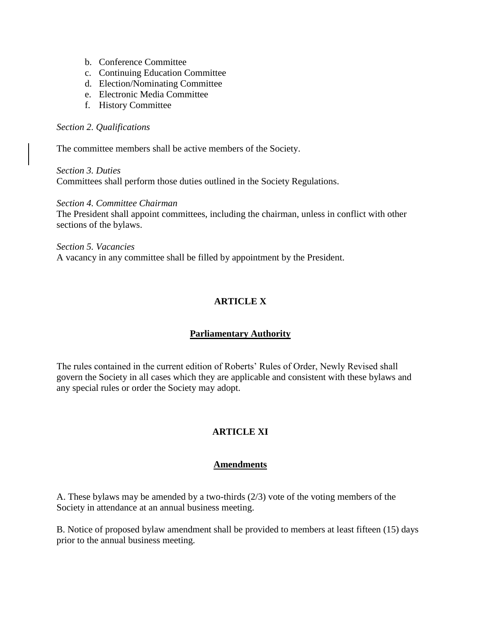- b. Conference Committee
- c. Continuing Education Committee
- d. Election/Nominating Committee
- e. Electronic Media Committee
- f. History Committee

#### *Section 2. Qualifications*

The committee members shall be active members of the Society.

*Section 3. Duties* Committees shall perform those duties outlined in the Society Regulations.

*Section 4. Committee Chairman* The President shall appoint committees, including the chairman, unless in conflict with other sections of the bylaws.

*Section 5. Vacancies* A vacancy in any committee shall be filled by appointment by the President.

# **ARTICLE X**

# **Parliamentary Authority**

The rules contained in the current edition of Roberts' Rules of Order, Newly Revised shall govern the Society in all cases which they are applicable and consistent with these bylaws and any special rules or order the Society may adopt.

# **ARTICLE XI**

### **Amendments**

A. These bylaws may be amended by a two-thirds (2/3) vote of the voting members of the Society in attendance at an annual business meeting.

B. Notice of proposed bylaw amendment shall be provided to members at least fifteen (15) days prior to the annual business meeting.